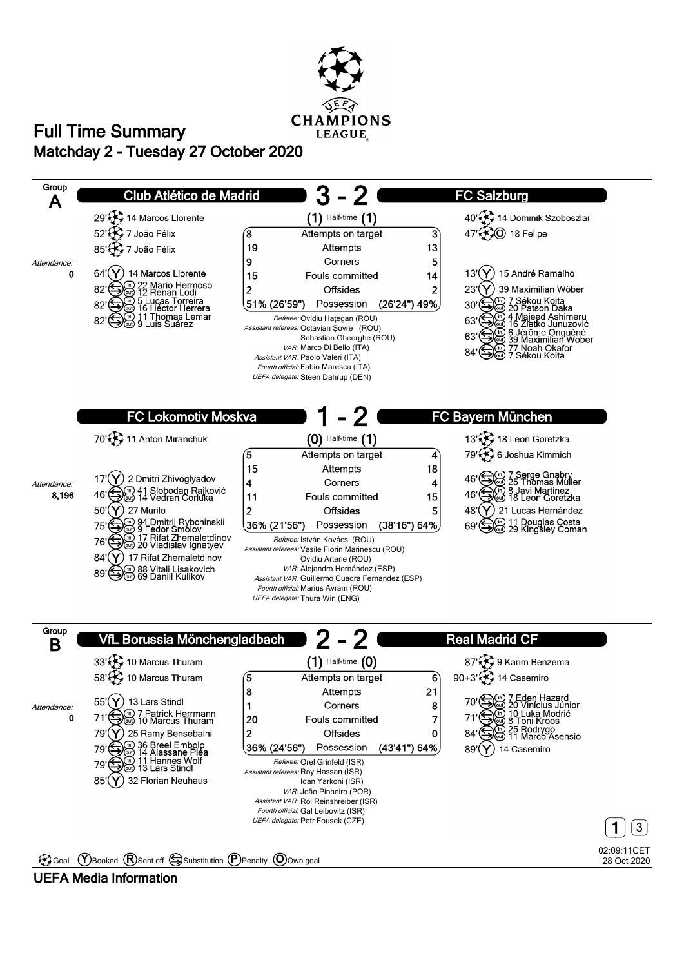

## **Matchday 2 - Tuesday 27 October 2020 Full Time Summary**



### **UEFA Media Information**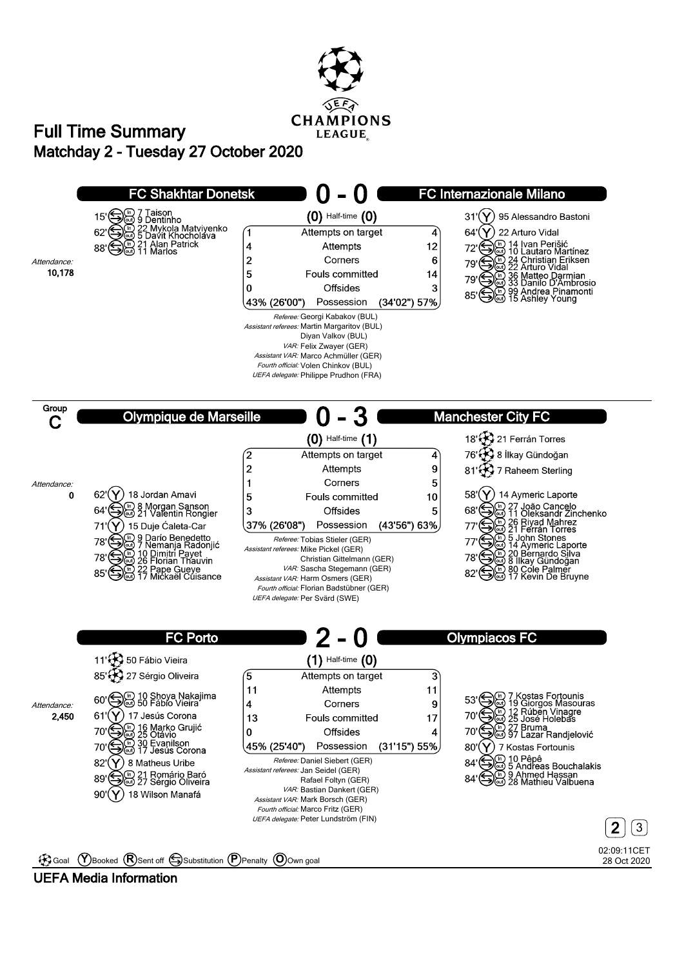

# **Matchday 2 - Tuesday 27 October 2020 Full Time Summary**



### **UEFA Media Information**